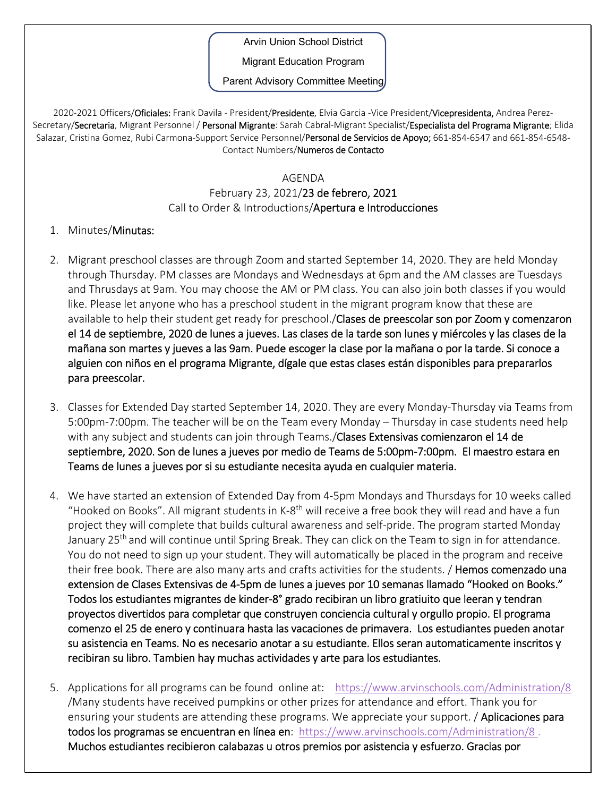Arvin Union School District

Migrant Education Program

Parent Advisory Committee Meeting

2020-2021 Officers/Oficiales: Frank Davila - President/Presidente, Elvia Garcia -Vice President/Vicepresidenta, Andrea Perez-Secretary/Secretaria, Migrant Personnel / Personal Migrante: Sarah Cabral-Migrant Specialist/Especialista del Programa Migrante; Elida Salazar, Cristina Gomez, Rubi Carmona-Support Service Personnel/Personal de Servicios de Apoyo; 661-854-6547 and 661-854-6548-Contact Numbers/Numeros de Contacto

## AGENDA

## February 23, 2021/23 de febrero, 2021 Call to Order & Introductions/Apertura e Introducciones

## 1. Minutes/Minutas:

- 2. Migrant preschool classes are through Zoom and started September 14, 2020. They are held Monday through Thursday. PM classes are Mondays and Wednesdays at 6pm and the AM classes are Tuesdays and Thrusdays at 9am. You may choose the AM or PM class. You can also join both classes if you would like. Please let anyone who has a preschool student in the migrant program know that these are available to help their student get ready for preschool. **Clases de preescolar son por Zoom y comenzaron** el 14 de septiembre, 2020 de lunes a jueves. Las clases de la tarde son lunes y miércoles y las clases de la mañana son martes y jueves a las 9am. Puede escoger la clase por la mañana o por la tarde. Si conoce a alguien con niños en el programa Migrante, dígale que estas clases están disponibles para prepararlos para preescolar.
- 3. Classes for Extended Day started September 14, 2020. They are every Monday‐Thursday via Teams from 5:00pm‐7:00pm. The teacher will be on the Team every Monday – Thursday in case students need help with any subject and students can join through Teams./Clases Extensivas comienzaron el 14 de septiembre, 2020. Son de lunes a jueves por medio de Teams de 5:00pm‐7:00pm. El maestro estara en Teams de lunes a jueves por si su estudiante necesita ayuda en cualquier materia.
- 4. We have started an extension of Extended Day from 4‐5pm Mondays and Thursdays for 10 weeks called "Hooked on Books". All migrant students in K-8<sup>th</sup> will receive a free book they will read and have a fun project they will complete that builds cultural awareness and self‐pride. The program started Monday January 25<sup>th</sup> and will continue until Spring Break. They can click on the Team to sign in for attendance. You do not need to sign up your student. They will automatically be placed in the program and receive their free book. There are also many arts and crafts activities for the students. / Hemos comenzado una extension de Clases Extensivas de 4‐5pm de lunes a jueves por 10 semanas llamado "Hooked on Books." Todos los estudiantes migrantes de kinder‐8° grado recibiran un libro gratiuito que leeran y tendran proyectos divertidos para completar que construyen conciencia cultural y orgullo propio. El programa comenzo el 25 de enero y continuara hasta las vacaciones de primavera. Los estudiantes pueden anotar su asistencia en Teams. No es necesario anotar a su estudiante. Ellos seran automaticamente inscritos y recibiran su libro. Tambien hay muchas actividades y arte para los estudiantes.
- 5. Applications for all programs can be found online at: https://www.arvinschools.com/Administration/8 /Many students have received pumpkins or other prizes for attendance and effort. Thank you for ensuring your students are attending these programs. We appreciate your support. **/ Aplicaciones para** todos los programas se encuentran en línea en: https://www.arvinschools.com/Administration/8. Muchos estudiantes recibieron calabazas u otros premios por asistencia y esfuerzo. Gracias por